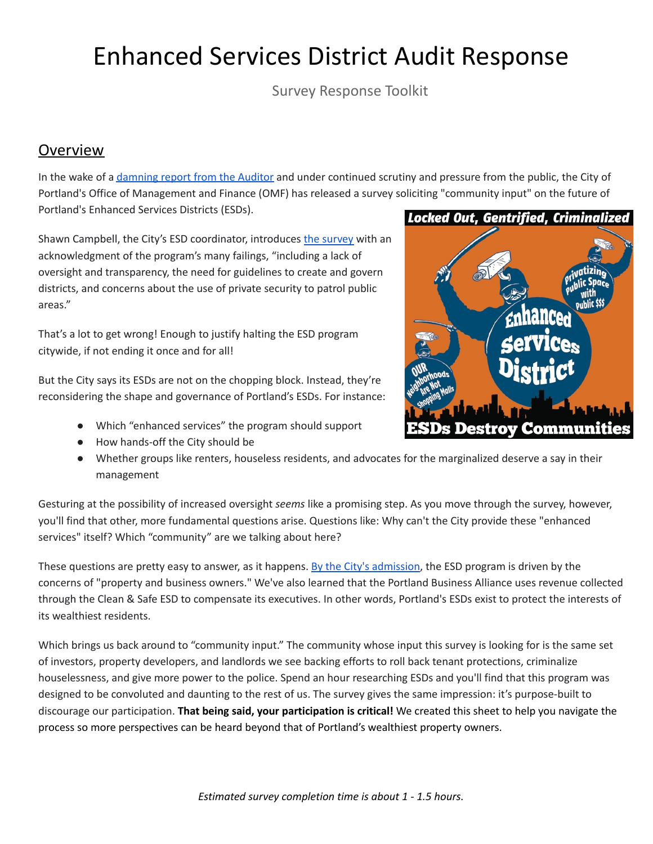## Enhanced Services District Audit Response

Survey Response Toolkit

## Overview

In the wake of a [damning](https://www.portlandoregon.gov/auditservices/article/764910) report from the Auditor and under continued scrutiny and pressure from the public, the City of Portland's Office of Management and Finance (OMF) has released a survey soliciting "community input" on the future of Portland's Enhanced Services Districts (ESDs).

Shawn Campbell, the City's ESD coordinator, introduces the [survey](https://docs.google.com/forms/d/e/1FAIpQLSckWh42w9OEZtJirWkTNBeRk5FecKn1wR1yaT_prP0mW1-InQ/viewform) with an acknowledgment of the program's many failings, "including a lack of oversight and transparency, the need for guidelines to create and govern districts, and concerns about the use of private security to patrol public areas."

That's a lot to get wrong! Enough to justify halting the ESD program citywide, if not ending it once and for all!

But the City says its ESDs are not on the chopping block. Instead, they're reconsidering the shape and governance of Portland's ESDs. For instance:

- Which "enhanced services" the program should support
- How hands-off the City should be
- Whether groups like renters, houseless residents, and advocates for the marginalized deserve a say in their management

Gesturing at the possibility of increased oversight *seems* like a promising step. As you move through the survey, however, you'll find that other, more fundamental questions arise. Questions like: Why can't the City provide these "enhanced services" itself? Which "community" are we talking about here?

These questions are pretty easy to answer, as it happens. By the City's [admission](https://www.portland.gov/omf/esd), the ESD program is driven by the concerns of "property and business owners." We've also learned that the Portland Business Alliance uses revenue collected through the Clean & Safe ESD to compensate its executives. In other words, Portland's ESDs exist to protect the interests of its wealthiest residents.

Which brings us back around to "community input." The community whose input this survey is looking for is the same set of investors, property developers, and landlords we see backing efforts to roll back tenant protections, criminalize houselessness, and give more power to the police. Spend an hour researching ESDs and you'll find that this program was designed to be convoluted and daunting to the rest of us. The survey gives the same impression: it's purpose-built to discourage our participation. **That being said, your participation is critical!** We created this sheet to help you navigate the process so more perspectives can be heard beyond that of Portland's wealthiest property owners.